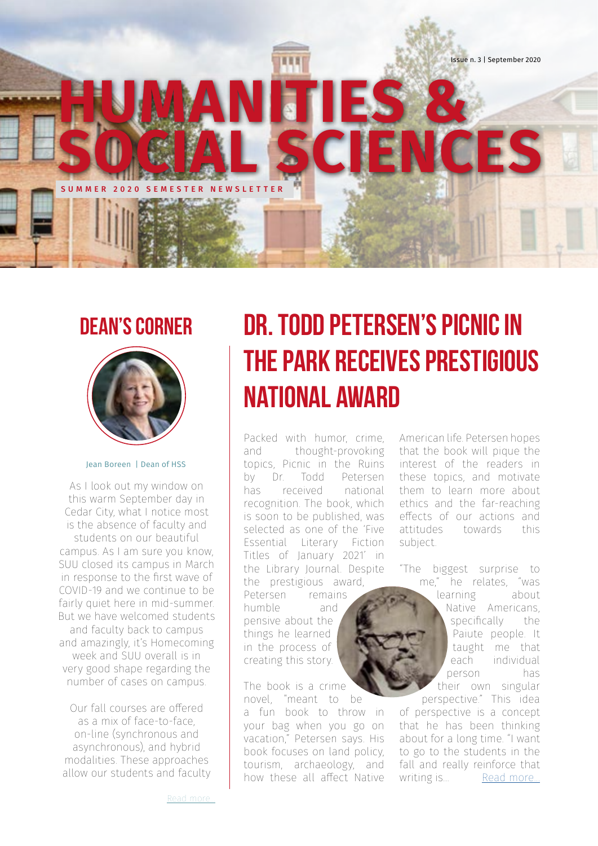

## **Dean's Corner**



Jean Boreen | Dean of HSS

As I look out my window on this warm September day in Cedar City, what I notice most is the absence of faculty and students on our beautiful campus. As I am sure you know, SUU closed its campus in March in response to the first wave of COVID-19 and we continue to be fairly quiet here in mid-summer. But we have welcomed students and faculty back to campus and amazingly, it's Homecoming week and SUU overall is in very good shape regarding the number of cases on campus.

Our fall courses are offered as a mix of face-to-face, on-line (synchronous and asynchronous), and hybrid modalities. These approaches allow our students and faculty

## **Dr. Todd Petersen's Picnic in the Park Receives Prestigious National Award**

Packed with humor, crime, and thought-provoking topics, Picnic in the Ruins by Dr. Todd Petersen has received national recognition. The book, which is soon to be published, was selected as one of the 'Five Essential Literary Fiction Titles of January 2021' in the Library Journal. Despite the prestigious award, Petersen remains

humble and pensive about the things he learned in the process of creating this story.

The book is a crime novel, "meant to be a fun book to throw in your bag when you go on vacation," Petersen says. His book focuses on land policy, tourism, archaeology, and how these all affect Native American life. Petersen hopes that the book will pique the interest of the readers in these topics, and motivate them to learn more about ethics and the far-reaching effects of our actions and attitudes towards this subject.

"The biggest surprise to me," he relates, "was

learning about Native Americans, specifically the Paiute people. It taught me that each individual person has their own singular perspective." This idea of perspective is a concept that he has been thinking about for a long time. "I want to go to the students in the fall and really reinforce that writing is... [Read more...](https://drive.google.com/file/d/1m6X_VA_x4GZvCZhGzTC4Xc4cGiI9WrIc/view?usp=sharing)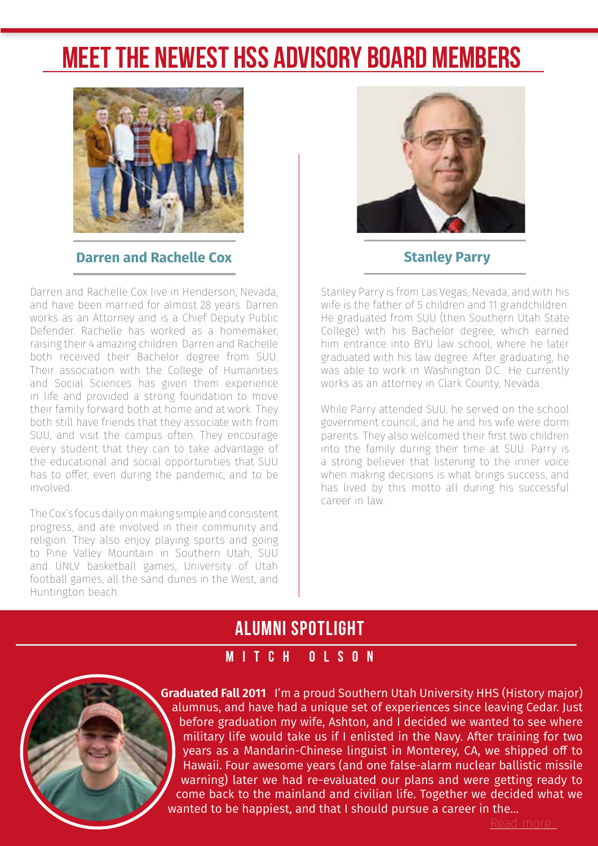## **Meet the Newest HSS Advisory Board Members**



2 Newsletter Issue n. 45, January 2016

#### **Darren and Rachelle Cox Stanley Parry**

Darren and Rachelle Cox live in Henderson, Nevada, and have been married for almost 28 years. Darren works as an Attorney and is a Chief Deputy Public Defender. Rachelle has worked as a homemaker, raising their 4 amazing children. Darren and Rachelle both received their Bachelor degree from SUU. Their association with the College of Humanities and Social Sciences has given them experience in life and provided a strong foundation to move their family forward both at home and at work. They both still have friends that they associate with from SUU, and visit the campus often. They encourage every student that they can to take advantage of the educational and social opportunities that SUU has to offer, even during the pandemic, and to be involved.

The Cox's focus daily on making simple and consistent progress, and are involved in their community and religion. They also enjoy playing sports and going to Pine Valley Mountain in Southern Utah, SUU and UNLV basketball games, University of Utah football games, all the sand dunes in the West, and Huntington beach.



Stanley Parry is from Las Vegas, Nevada, and with his wife is the father of 5 children and 11 grandchildren. He graduated from SUU (then Southern Utah State College) with his Bachelor degree, which earned him entrance into BYU law school, where he later graduated with his law degree. After graduating, he was able to work in Washington D.C.. He currently works as an attorney in Clark County, Nevada.

While Parry attended SUU, he served on the school government council, and he and his wife were dorm parents. They also welcomed their first two children into the family during their time at SUU. Parry is a strong believer that listening to the inner voice when making decisions is what brings success, and has lived by this motto all during his successful career in law.

### **ALUMNI SPOTLIGHT**

#### **MITCH OLSON**



**Graduated Fall 2011** I'm a proud Southern Utah University HHS (History major) alumnus, and have had a unique set of experiences since leaving Cedar. Just before graduation my wife, Ashton, and I decided we wanted to see where military life would take us if I enlisted in the Navy. After training for two years as a Mandarin-Chinese linguist in Monterey, CA, we shipped off to Hawaii. Four awesome years (and one false-alarm nuclear ballistic missile warning) later we had re-evaluated our plans and were getting ready to come back to the mainland and civilian life. Together we decided what we wanted to be happiest, and that I should pursue a career in the...